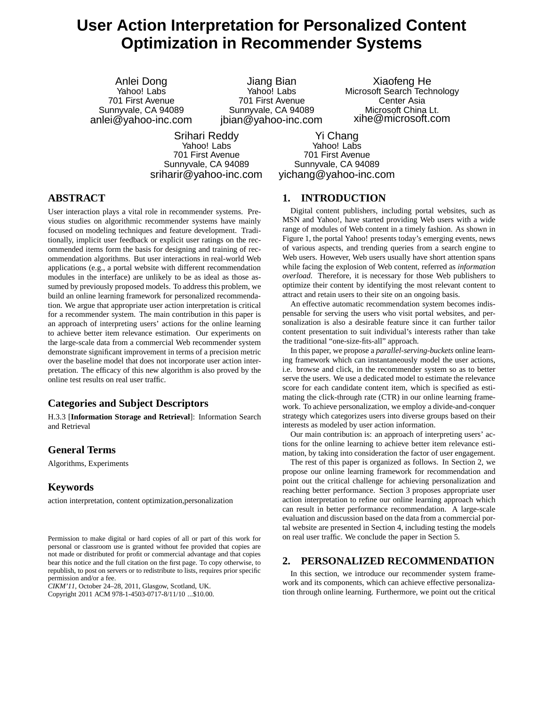# **User Action Interpretation for Personalized Content Optimization in Recommender Systems**

Anlei Dong Yahoo! Labs 701 First Avenue Sunnyvale, CA 94089 anlei@yahoo-inc.com

Jiang Bian Yahoo! Labs 701 First Avenue Sunnyvale, CA 94089 jbian@yahoo-inc.com

Xiaofeng He Microsoft Search Technology Center Asia Microsoft China Lt. xihe@microsoft.com

Srihari Reddy Yahoo! Labs 701 First Avenue Sunnyvale, CA 94089 sriharir@yahoo-inc.com

Yi Chang Yahoo! Labs 701 First Avenue Sunnyvale, CA 94089 yichang@yahoo-inc.com

# **ABSTRACT**

User interaction plays a vital role in recommender systems. Previous studies on algorithmic recommender systems have mainly focused on modeling techniques and feature development. Traditionally, implicit user feedback or explicit user ratings on the recommended items form the basis for designing and training of recommendation algorithms. But user interactions in real-world Web applications (e.g., a portal website with different recommendation modules in the interface) are unlikely to be as ideal as those assumed by previously proposed models. To address this problem, we build an online learning framework for personalized recommendation. We argue that appropriate user action interpretation is critical for a recommender system. The main contribution in this paper is an approach of interpreting users' actions for the online learning to achieve better item relevance estimation. Our experiments on the large-scale data from a commercial Web recommender system demonstrate significant improvement in terms of a precision metric over the baseline model that does not incorporate user action interpretation. The efficacy of this new algorithm is also proved by the online test results on real user traffic.

# **Categories and Subject Descriptors**

H.3.3 [**Information Storage and Retrieval**]: Information Search and Retrieval

## **General Terms**

Algorithms, Experiments

## **Keywords**

action interpretation, content optimization,personalization

*CIKM'11,* October 24–28, 2011, Glasgow, Scotland, UK.

Copyright 2011 ACM 978-1-4503-0717-8/11/10 ...\$10.00.

# **1. INTRODUCTION**

Digital content publishers, including portal websites, such as MSN and Yahoo!, have started providing Web users with a wide range of modules of Web content in a timely fashion. As shown in Figure 1, the portal Yahoo! presents today's emerging events, news of various aspects, and trending queries from a search engine to Web users. However, Web users usually have short attention spans while facing the explosion of Web content, referred as *information overload*. Therefore, it is necessary for those Web publishers to optimize their content by identifying the most relevant content to attract and retain users to their site on an ongoing basis.

An effective automatic recommendation system becomes indispensable for serving the users who visit portal websites, and personalization is also a desirable feature since it can further tailor content presentation to suit individual's interests rather than take the traditional "one-size-fits-all" approach.

In this paper, we propose a *parallel-serving-buckets* online learning framework which can instantaneously model the user actions, i.e. browse and click, in the recommender system so as to better serve the users. We use a dedicated model to estimate the relevance score for each candidate content item, which is specified as estimating the click-through rate (CTR) in our online learning framework. To achieve personalization, we employ a divide-and-conquer strategy which categorizes users into diverse groups based on their interests as modeled by user action information.

Our main contribution is: an approach of interpreting users' actions for the online learning to achieve better item relevance estimation, by taking into consideration the factor of user engagement.

The rest of this paper is organized as follows. In Section 2, we propose our online learning framework for recommendation and point out the critical challenge for achieving personalization and reaching better performance. Section 3 proposes appropriate user action interpretation to refine our online learning approach which can result in better performance recommendation. A large-scale evaluation and discussion based on the data from a commercial portal website are presented in Section 4, including testing the models on real user traffic. We conclude the paper in Section 5.

#### **2. PERSONALIZED RECOMMENDATION**

In this section, we introduce our recommender system framework and its components, which can achieve effective personalization through online learning. Furthermore, we point out the critical

Permission to make digital or hard copies of all or part of this work for personal or classroom use is granted without fee provided that copies are not made or distributed for profit or commercial advantage and that copies bear this notice and the full citation on the first page. To copy otherwise, to republish, to post on servers or to redistribute to lists, requires prior specific permission and/or a fee.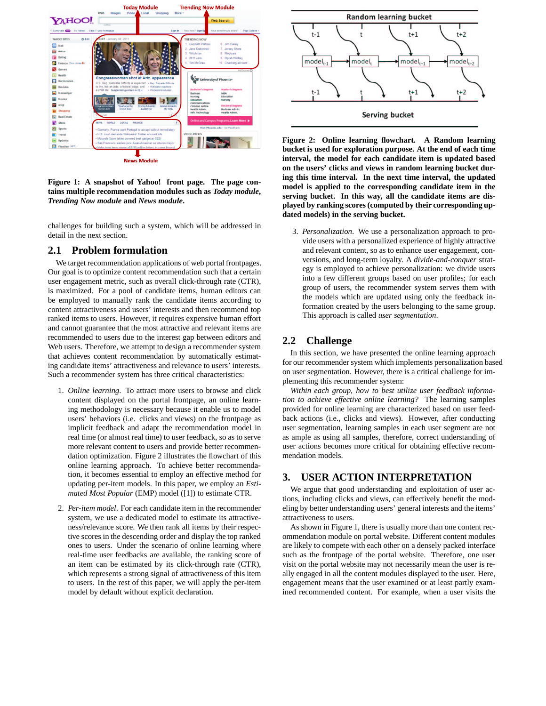

**Figure 1: A snapshot of Yahoo! front page. The page contains multiple recommendation modules such as** *Today module***,** *Trending Now module* **and** *News module***.**

challenges for building such a system, which will be addressed in detail in the next section.

## **2.1 Problem formulation**

We target recommendation applications of web portal frontpages. Our goal is to optimize content recommendation such that a certain user engagement metric, such as overall click-through rate (CTR), is maximized. For a pool of candidate items, human editors can be employed to manually rank the candidate items according to content attractiveness and users' interests and then recommend top ranked items to users. However, it requires expensive human effort and cannot guarantee that the most attractive and relevant items are recommended to users due to the interest gap between editors and Web users. Therefore, we attempt to design a recommender system that achieves content recommendation by automatically estimating candidate items' attractiveness and relevance to users' interests. Such a recommender system has three critical characteristics:

- 1. *Online learning*. To attract more users to browse and click content displayed on the portal frontpage, an online learning methodology is necessary because it enable us to model users' behaviors (i.e. clicks and views) on the frontpage as implicit feedback and adapt the recommendation model in real time (or almost real time) to user feedback, so as to serve more relevant content to users and provide better recommendation optimization. Figure 2 illustrates the flowchart of this online learning approach. To achieve better recommendation, it becomes essential to employ an effective method for updating per-item models. In this paper, we employ an *Estimated Most Popular* (EMP) model ([1]) to estimate CTR.
- 2. *Per-item model*. For each candidate item in the recommender system, we use a dedicated model to estimate its attractiveness/relevance score. We then rank all items by their respective scores in the descending order and display the top ranked ones to users. Under the scenario of online learning where real-time user feedbacks are available, the ranking score of an item can be estimated by its click-through rate (CTR), which represents a strong signal of attractiveness of this item to users. In the rest of this paper, we will apply the per-item model by default without explicit declaration.



**Figure 2: Online learning flowchart. A Random learning bucket is used for exploration purpose. At the end of each time interval, the model for each candidate item is updated based on the users' clicks and views in random learning bucket during this time interval. In the next time interval, the updated model is applied to the corresponding candidate item in the serving bucket. In this way, all the candidate items are displayed by ranking scores (computed by their corresponding updated models) in the serving bucket.**

3. *Personalization*. We use a personalization approach to provide users with a personalized experience of highly attractive and relevant content, so as to enhance user engagement, conversions, and long-term loyalty. A *divide-and-conquer* strategy is employed to achieve personalization: we divide users into a few different groups based on user profiles; for each group of users, the recommender system serves them with the models which are updated using only the feedback information created by the users belonging to the same group. This approach is called *user segmentation*.

## **2.2 Challenge**

In this section, we have presented the online learning approach for our recommender system which implements personalization based on user segmentation. However, there is a critical challenge for implementing this recommender system:

*Within each group, how to best utilize user feedback information to achieve effective online learning?* The learning samples provided for online learning are characterized based on user feedback actions (i.e., clicks and views). However, after conducting user segmentation, learning samples in each user segment are not as ample as using all samples, therefore, correct understanding of user actions becomes more critical for obtaining effective recommendation models.

## **3. USER ACTION INTERPRETATION**

We argue that good understanding and exploitation of user actions, including clicks and views, can effectively benefit the modeling by better understanding users' general interests and the items' attractiveness to users.

As shown in Figure 1, there is usually more than one content recommendation module on portal website. Different content modules are likely to compete with each other on a densely packed interface such as the frontpage of the portal website. Therefore, one user visit on the portal website may not necessarily mean the user is really engaged in all the content modules displayed to the user. Here, engagement means that the user examined or at least partly examined recommended content. For example, when a user visits the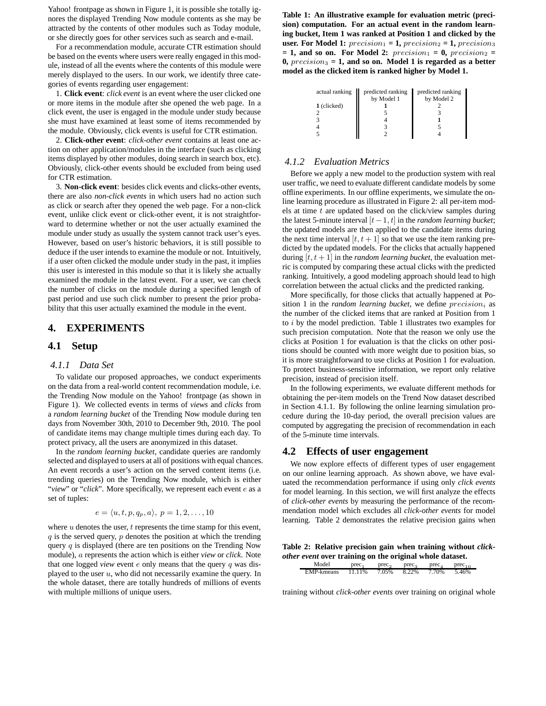Yahoo! frontpage as shown in Figure 1, it is possible she totally ignores the displayed Trending Now module contents as she may be attracted by the contents of other modules such as Today module, or she directly goes for other services such as search and e-mail.

For a recommendation module, accurate CTR estimation should be based on the events where users were really engaged in this module, instead of all the events where the contents of this module were merely displayed to the users. In our work, we identify three categories of events regarding user engagement:

1. **Click event**: *click event* is an event where the user clicked one or more items in the module after she opened the web page. In a click event, the user is engaged in the module under study because she must have examined at least some of items recommended by the module. Obviously, click events is useful for CTR estimation.

2. **Click-other event**: *click-other event* contains at least one action on other application/modules in the interface (such as clicking items displayed by other modules, doing search in search box, etc). Obviously, click-other events should be excluded from being used for CTR estimation.

3. **Non-click event**: besides click events and clicks-other events, there are also *non-click events* in which users had no action such as click or search after they opened the web page. For a non-click event, unlike click event or click-other event, it is not straightforward to determine whether or not the user actually examined the module under study as usually the system cannot track user's eyes. However, based on user's historic behaviors, it is still possible to deduce if the user intends to examine the module or not. Intuitively, if a user often clicked the module under study in the past, it implies this user is interested in this module so that it is likely she actually examined the module in the latest event. For a user, we can check the number of clicks on the module during a specified length of past period and use such click number to present the prior probability that this user actually examined the module in the event.

#### **4. EXPERIMENTS**

#### **4.1 Setup**

#### *4.1.1 Data Set*

To validate our proposed approaches, we conduct experiments on the data from a real-world content recommendation module, i.e. the Trending Now module on the Yahoo! frontpage (as shown in Figure 1). We collected events in terms of *views* and *clicks* from a *random learning bucket* of the Trending Now module during ten days from November 30th, 2010 to December 9th, 2010. The pool of candidate items may change multiple times during each day. To protect privacy, all the users are anonymized in this dataset.

In the *random learning bucket*, candidate queries are randomly selected and displayed to users at all of positions with equal chances. An event records a user's action on the served content items (i.e. trending queries) on the Trending Now module, which is either "view" or "*click*". More specifically, we represent each event *e* as a set of tuples:

$$
e = \langle u, t, p, q_p, a \rangle, p = 1, 2, \dots, 10
$$

where  $u$  denotes the user,  $t$  represents the time stamp for this event,  $q$  is the served query,  $p$  denotes the position at which the trending query  $q$  is displayed (there are ten positions on the Trending Now module), a represents the action which is either *view* or *click*. Note that one logged *view* event e only means that the query q was displayed to the user  $u$ , who did not necessarily examine the query. In the whole dataset, there are totally hundreds of millions of events with multiple millions of unique users.

**Table 1: An illustrative example for evaluation metric (precision) computation. For an actual event in the random learning bucket, Item 1 was ranked at Position 1 and clicked by the user.** For Model 1:  $precision_1 = 1$ ,  $precision_2 = 1$ ,  $precision_3$  $=$  **1,** and so on. For Model 2: precision<sub>1</sub> = 0, precision<sub>2</sub> =  $\mathbf{0}, \, \text{precision}_3 = \mathbf{1}, \, \text{and so on.}$  **Model 1** is regarded as a better **model as the clicked item is ranked higher by Model 1.**

| actual ranking | predicted ranking | predicted ranking |  |  |
|----------------|-------------------|-------------------|--|--|
|                | by Model 1        | by Model 2        |  |  |
| 1 (clicked)    |                   |                   |  |  |
|                |                   |                   |  |  |
|                |                   |                   |  |  |
|                |                   |                   |  |  |
|                |                   |                   |  |  |
|                |                   |                   |  |  |

#### *4.1.2 Evaluation Metrics*

Before we apply a new model to the production system with real user traffic, we need to evaluate different candidate models by some offline experiments. In our offline experiments, we simulate the online learning procedure as illustrated in Figure 2: all per-item models at time  $t$  are updated based on the click/view samples during the latest 5-minute interval  $[t - 1, t]$  in the *random learning bucket*; the updated models are then applied to the candidate items during the next time interval  $[t, t + 1]$  so that we use the item ranking predicted by the updated models. For the clicks that actually happened during  $[t, t + 1]$  in the *random learning bucket*, the evaluation metric is computed by comparing these actual clicks with the predicted ranking. Intuitively, a good modeling approach should lead to high correlation between the actual clicks and the predicted ranking.

More specifically, for those clicks that actually happened at Position 1 in the *random learning bucket*, we define  $precision_i$  as the number of the clicked items that are ranked at Position from 1 to i by the model prediction. Table 1 illustrates two examples for such precision computation. Note that the reason we only use the clicks at Position 1 for evaluation is that the clicks on other positions should be counted with more weight due to position bias, so it is more straightforward to use clicks at Position 1 for evaluation. To protect business-sensitive information, we report only relative precision, instead of precision itself.

In the following experiments, we evaluate different methods for obtaining the per-item models on the Trend Now dataset described in Section 4.1.1. By following the online learning simulation procedure during the 10-day period, the overall precision values are computed by aggregating the precision of recommendation in each of the 5-minute time intervals.

## **4.2 Effects of user engagement**

We now explore effects of different types of user engagement on our online learning approach. As shown above, we have evaluated the recommendation performance if using only *click events* for model learning. In this section, we will first analyze the effects of *click-other events* by measuring the performance of the recommendation model which excludes all *click-other events* for model learning. Table 2 demonstrates the relative precision gains when

**Table 2: Relative precision gain when training without** *clickother event* **over training on the original whole dataset.**

| Model             | prec,   | $prec_{\alpha}$ | $prec_{\alpha}$ | prec. | $prec_{10}$ |
|-------------------|---------|-----------------|-----------------|-------|-------------|
| <b>EMP-kmeans</b> | $111\%$ | .05%            | 8.22%           | 70%   | 5.46%       |

training without *click-other events* over training on original whole